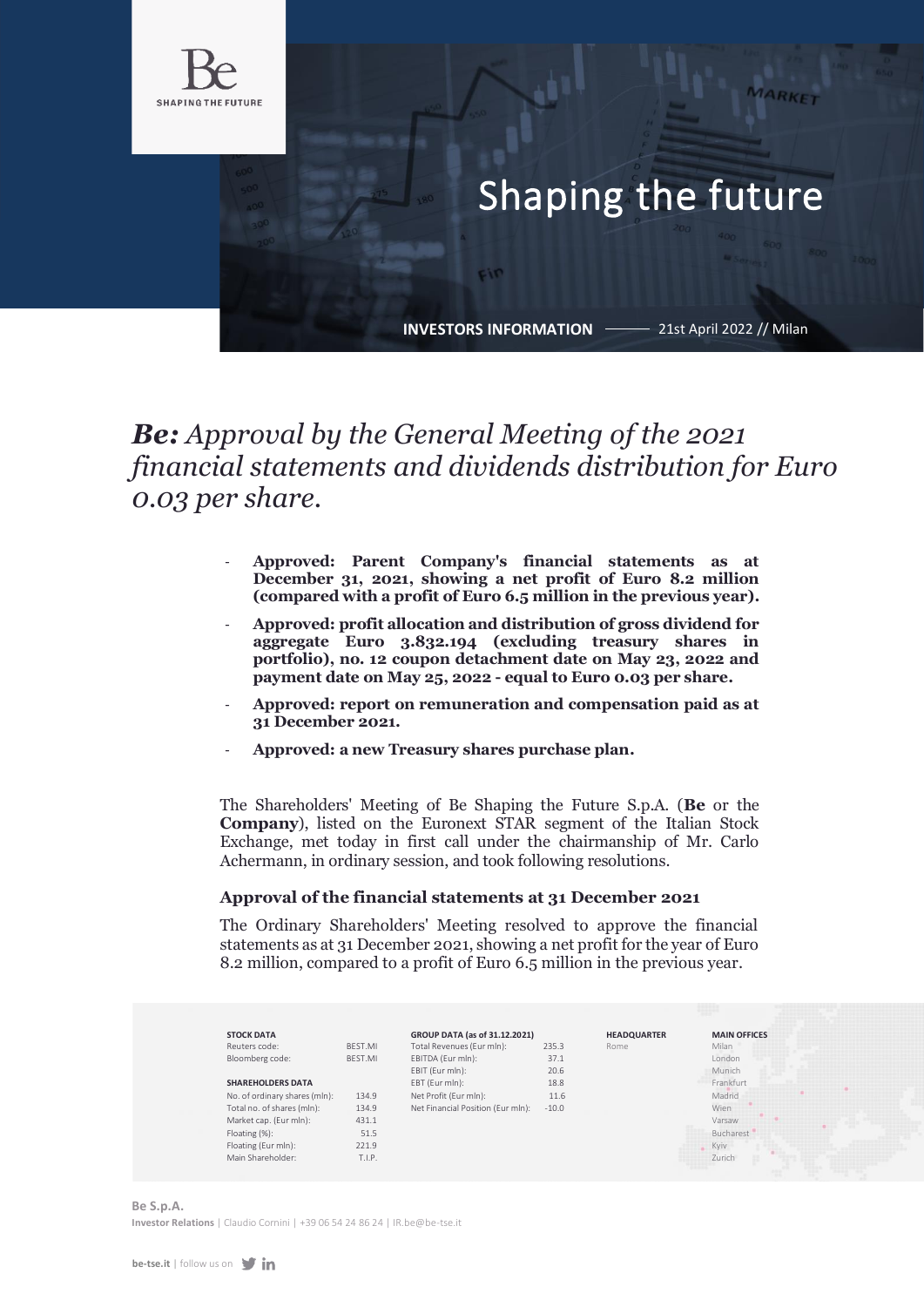

# Shaping the future

**INVESTORS INFORMATION**

Fin

21st April 2022 // Milan

MARKET

# *Be: Approval by the General Meeting of the 2021 financial statements and dividends distribution for Euro 0.03 per share.*

- **Approved: Parent Company's financial statements as at December 31, 2021, showing a net profit of Euro 8.2 million (compared with a profit of Euro 6.5 million in the previous year).**
- **Approved: profit allocation and distribution of gross dividend for aggregate Euro 3.832.194 (excluding treasury shares in portfolio), no. 12 coupon detachment date on May 23, 2022 and payment date on May 25, 2022 - equal to Euro 0.03 per share.**
- **Approved: report on remuneration and compensation paid as at 31 December 2021.**
- **Approved: a new Treasury shares purchase plan.**

The Shareholders' Meeting of Be Shaping the Future S.p.A. (**Be** or the **Company**), listed on the Euronext STAR segment of the Italian Stock Exchange, met today in first call under the chairmanship of Mr. Carlo Achermann, in ordinary session, and took following resolutions.

# **Approval of the financial statements at 31 December 2021**

The Ordinary Shareholders' Meeting resolved to approve the financial statements as at 31 December 2021, showing a net profit for the year of Euro 8.2 million, compared to a profit of Euro 6.5 million in the previous year.



**Be S.p.A. Investor Relations** | Claudio Cornini [| +39 06 54 24 86 24 | IR.be@be-tse.it](mailto:IR.be@be-tse.it)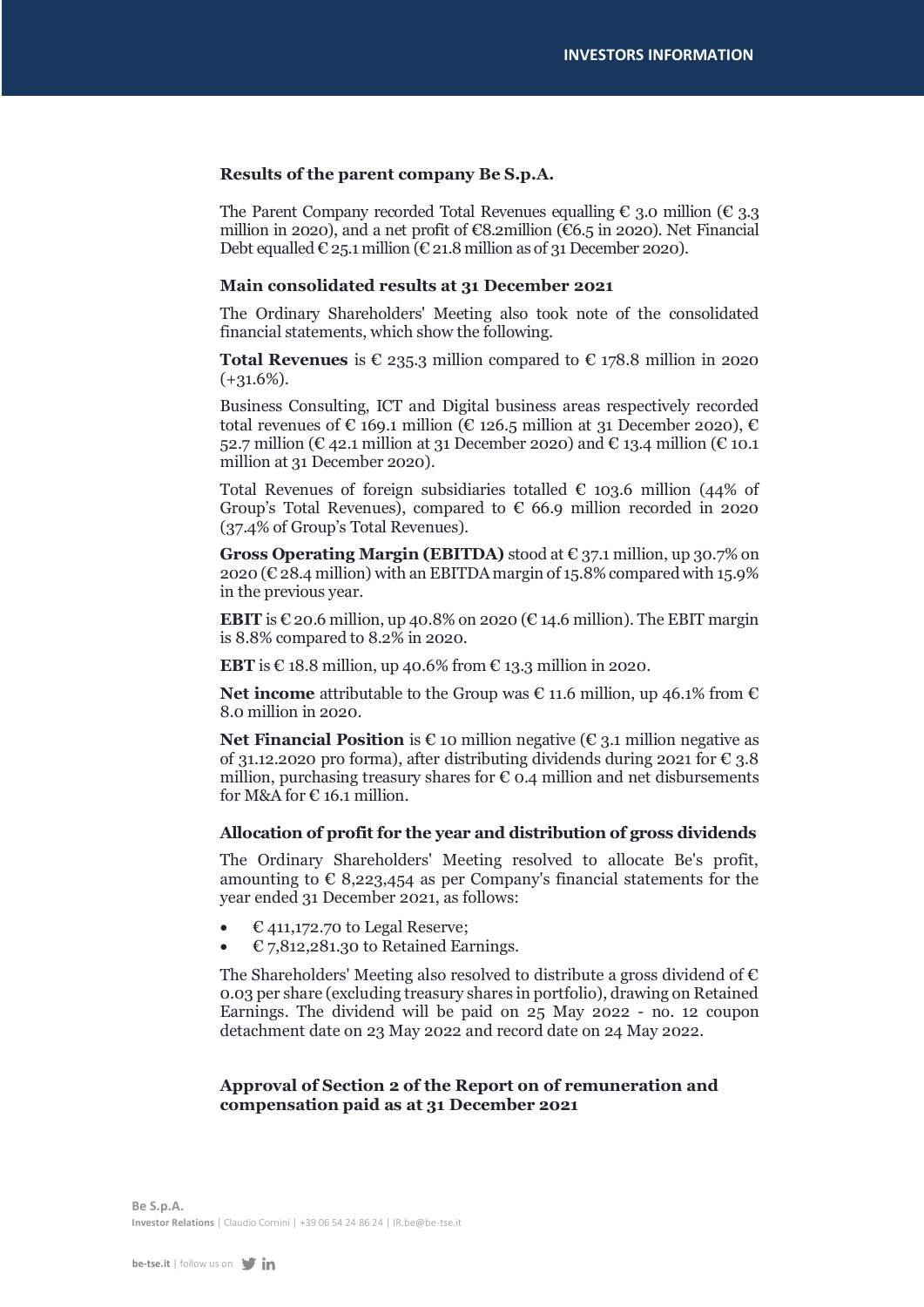# **Results of the parent company Be S.p.A.**

The Parent Company recorded Total Revenues equalling  $\epsilon$  3.0 million ( $\epsilon$  3.3) million in 2020), and a net profit of  $\epsilon$ 8.2million ( $\epsilon$ 6.5 in 2020). Net Financial Debt equalled  $\epsilon$  25.1 million ( $\epsilon$  21.8 million as of 31 December 2020).

### **Main consolidated results at 31 December 2021**

The Ordinary Shareholders' Meeting also took note of the consolidated financial statements, which show the following.

**Total Revenues** is  $\epsilon$  235.3 million compared to  $\epsilon$  178.8 million in 2020  $(+31.6\%)$ .

Business Consulting, ICT and Digital business areas respectively recorded total revenues of  $\epsilon$  169.1 million ( $\epsilon$  126.5 million at 31 December 2020),  $\epsilon$ 52.7 million ( $\mathcal{C}$  42.1 million at 31 December 2020) and  $\mathcal{C}$  13.4 million ( $\mathcal{C}$  10.1 million at 31 December 2020).

Total Revenues of foreign subsidiaries totalled  $\epsilon$  103.6 million (44% of Group's Total Revenues), compared to  $\epsilon$  66.9 million recorded in 2020 (37.4% of Group's Total Revenues).

**Gross Operating Margin (EBITDA)** stood at € 37.1 million, up 30.7% on 2020 ( $\epsilon$  28.4 million) with an EBITDA margin of 15.8% compared with 15.9% in the previous year.

**EBIT** is  $\epsilon$  20.6 million, up 40.8% on 2020 ( $\epsilon$  14.6 million). The EBIT margin is 8.8% compared to 8.2% in 2020.

**EBT** is  $\epsilon$  18.8 million, up 40.6% from  $\epsilon$  13.3 million in 2020.

**Net income** attributable to the Group was € 11.6 million, up 46.1% from € 8.0 million in 2020.

**Net Financial Position** is  $\epsilon$  10 million negative ( $\epsilon$  3.1 million negative as of 31.12.2020 pro forma), after distributing dividends during 2021 for  $\epsilon$  3.8 million, purchasing treasury shares for  $\epsilon$  0.4 million and net disbursements for M&A for  $\in$  16.1 million.

#### **Allocation of profit for the year and distribution of gross dividends**

The Ordinary Shareholders' Meeting resolved to allocate Be's profit, amounting to  $\epsilon$  8,223,454 as per Company's financial statements for the year ended 31 December 2021, as follows:

- $E$  411,172.70 to Legal Reserve;
- $E$  7,812,281.30 to Retained Earnings.

The Shareholders' Meeting also resolved to distribute a gross dividend of  $\epsilon$ 0.03 per share (excluding treasury shares in portfolio), drawing on Retained Earnings. The dividend will be paid on 25 May 2022 - no. 12 coupon detachment date on 23 May 2022 and record date on 24 May 2022.

# **Approval of Section 2 of the Report on of remuneration and compensation paid as at 31 December 2021**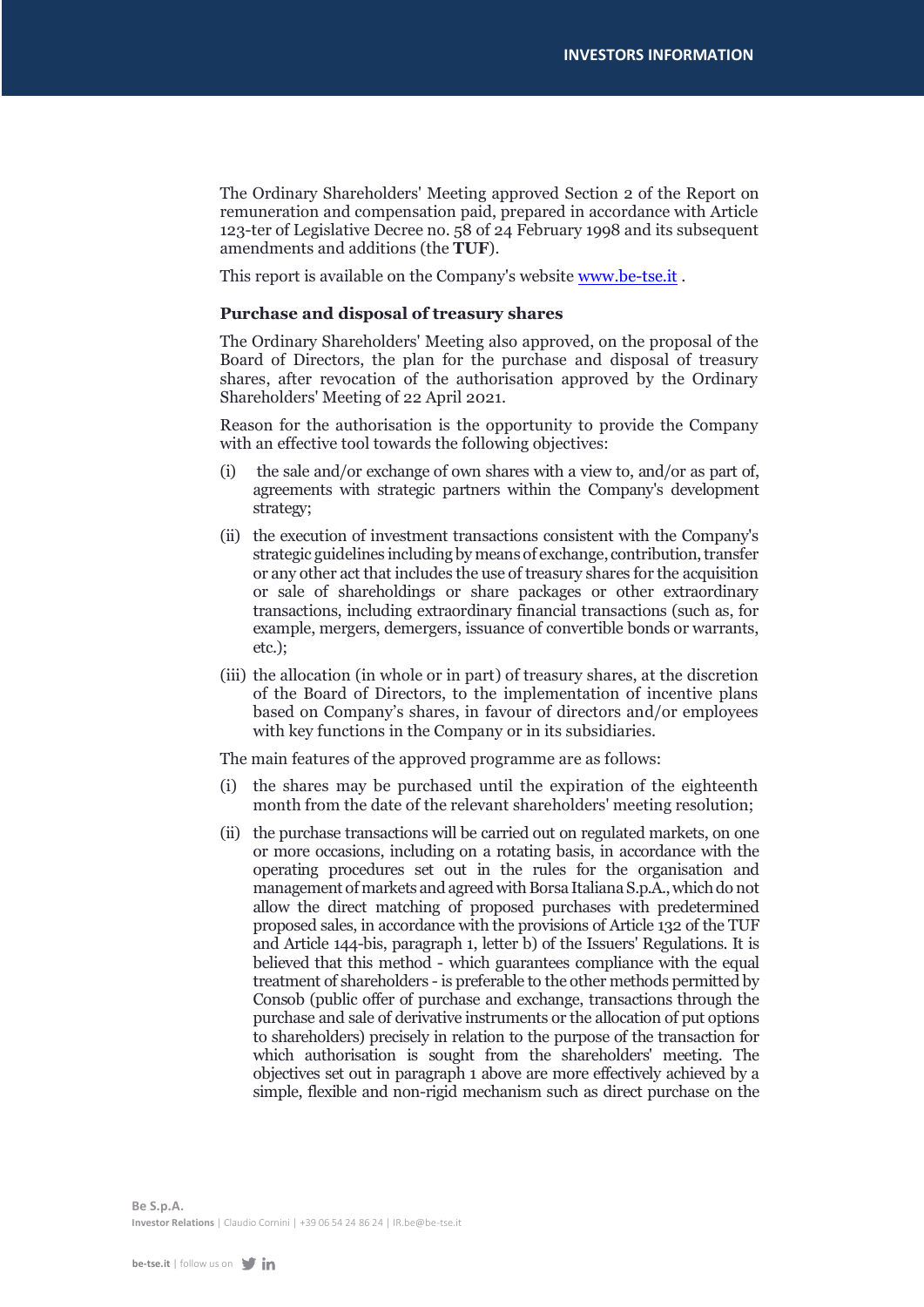The Ordinary Shareholders' Meeting approved Section 2 of the Report on remuneration and compensation paid, prepared in accordance with Article 123-ter of Legislative Decree no. 58 of 24 February 1998 and its subsequent amendments and additions (the **TUF**).

This report is available on the Company's website **www.be-tse.it**.

# **Purchase and disposal of treasury shares**

The Ordinary Shareholders' Meeting also approved, on the proposal of the Board of Directors, the plan for the purchase and disposal of treasury shares, after revocation of the authorisation approved by the Ordinary Shareholders' Meeting of 22 April 2021.

Reason for the authorisation is the opportunity to provide the Company with an effective tool towards the following objectives:

- (i) the sale and/or exchange of own shares with a view to, and/or as part of, agreements with strategic partners within the Company's development strategy;
- (ii) the execution of investment transactions consistent with the Company's strategic guidelines including by means of exchange, contribution, transfer or any other act that includes the use of treasury shares for the acquisition or sale of shareholdings or share packages or other extraordinary transactions, including extraordinary financial transactions (such as, for example, mergers, demergers, issuance of convertible bonds or warrants, etc.);
- (iii) the allocation (in whole or in part) of treasury shares, at the discretion of the Board of Directors, to the implementation of incentive plans based on Company's shares, in favour of directors and/or employees with key functions in the Company or in its subsidiaries.

The main features of the approved programme are as follows:

- (i) the shares may be purchased until the expiration of the eighteenth month from the date of the relevant shareholders' meeting resolution;
- (ii) the purchase transactions will be carried out on regulated markets, on one or more occasions, including on a rotating basis, in accordance with the operating procedures set out in the rules for the organisation and management of markets and agreed with Borsa Italiana S.p.A., which do not allow the direct matching of proposed purchases with predetermined proposed sales, in accordance with the provisions of Article 132 of the TUF and Article 144-bis, paragraph 1, letter b) of the Issuers' Regulations. It is believed that this method - which guarantees compliance with the equal treatment of shareholders - is preferable to the other methods permitted by Consob (public offer of purchase and exchange, transactions through the purchase and sale of derivative instruments or the allocation of put options to shareholders) precisely in relation to the purpose of the transaction for which authorisation is sought from the shareholders' meeting. The objectives set out in paragraph 1 above are more effectively achieved by a simple, flexible and non-rigid mechanism such as direct purchase on the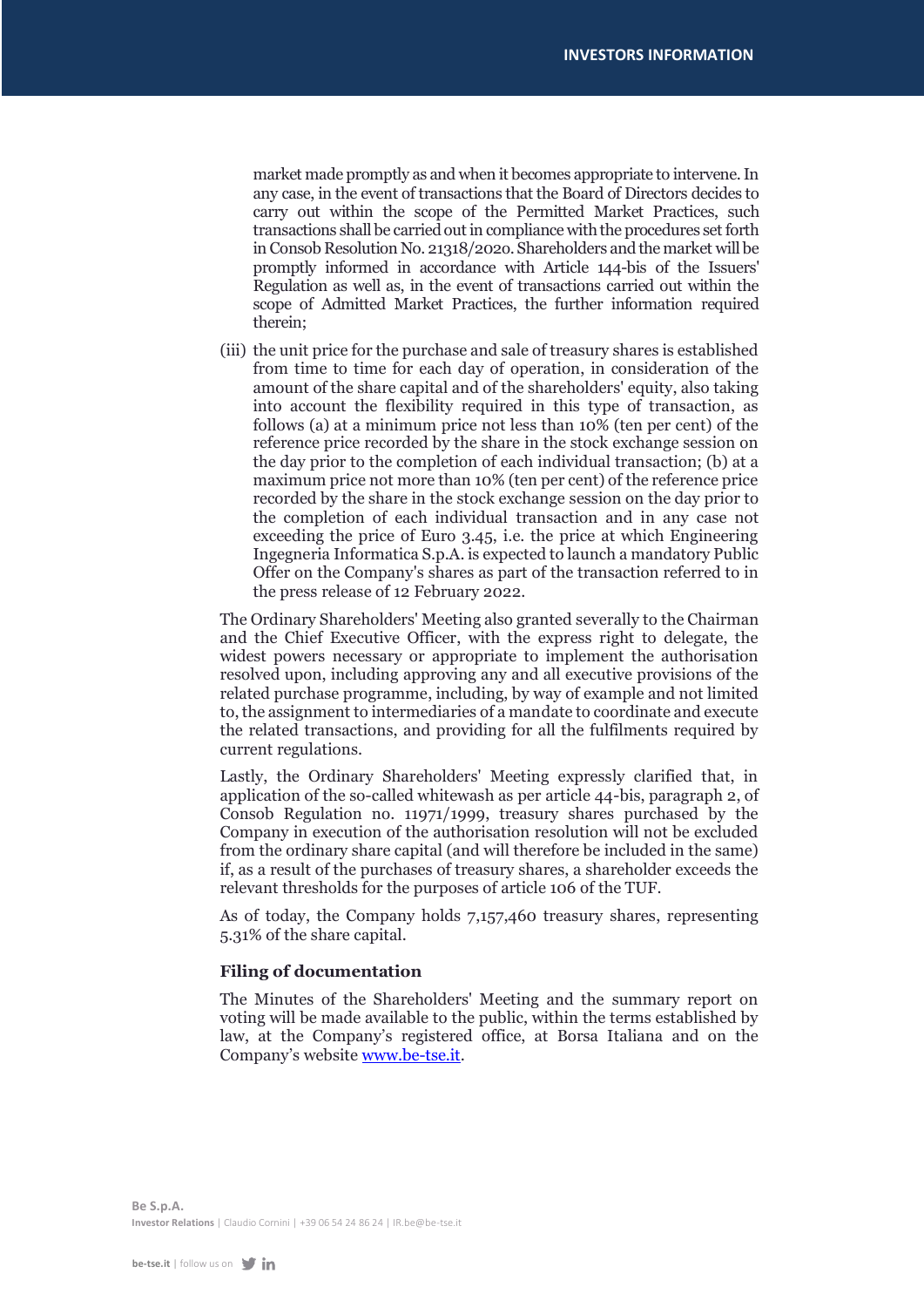market made promptly as and when it becomes appropriate to intervene. In any case, in the event of transactions that the Board of Directors decides to carry out within the scope of the Permitted Market Practices, such transactions shall be carried out in compliance with the procedures set forth in Consob Resolution No. 21318/202o. Shareholders and the market will be promptly informed in accordance with Article 144-bis of the Issuers' Regulation as well as, in the event of transactions carried out within the scope of Admitted Market Practices, the further information required therein;

(iii) the unit price for the purchase and sale of treasury shares is established from time to time for each day of operation, in consideration of the amount of the share capital and of the shareholders' equity, also taking into account the flexibility required in this type of transaction, as follows (a) at a minimum price not less than 10% (ten per cent) of the reference price recorded by the share in the stock exchange session on the day prior to the completion of each individual transaction; (b) at a maximum price not more than 10% (ten per cent) of the reference price recorded by the share in the stock exchange session on the day prior to the completion of each individual transaction and in any case not exceeding the price of Euro 3.45, i.e. the price at which Engineering Ingegneria Informatica S.p.A. is expected to launch a mandatory Public Offer on the Company's shares as part of the transaction referred to in the press release of 12 February 2022.

The Ordinary Shareholders' Meeting also granted severally to the Chairman and the Chief Executive Officer, with the express right to delegate, the widest powers necessary or appropriate to implement the authorisation resolved upon, including approving any and all executive provisions of the related purchase programme, including, by way of example and not limited to, the assignment to intermediaries of a mandate to coordinate and execute the related transactions, and providing for all the fulfilments required by current regulations.

Lastly, the Ordinary Shareholders' Meeting expressly clarified that, in application of the so-called whitewash as per article 44-bis, paragraph 2, of Consob Regulation no. 11971/1999, treasury shares purchased by the Company in execution of the authorisation resolution will not be excluded from the ordinary share capital (and will therefore be included in the same) if, as a result of the purchases of treasury shares, a shareholder exceeds the relevant thresholds for the purposes of article 106 of the TUF.

As of today, the Company holds 7,157,460 treasury shares, representing 5.31% of the share capital.

# **Filing of documentation**

The Minutes of the Shareholders' Meeting and the summary report on voting will be made available to the public, within the terms established by law, at the Company's registered office, at Borsa Italiana and on the Company's website [www.be-tse.it.](http://www.be-tse.it/)